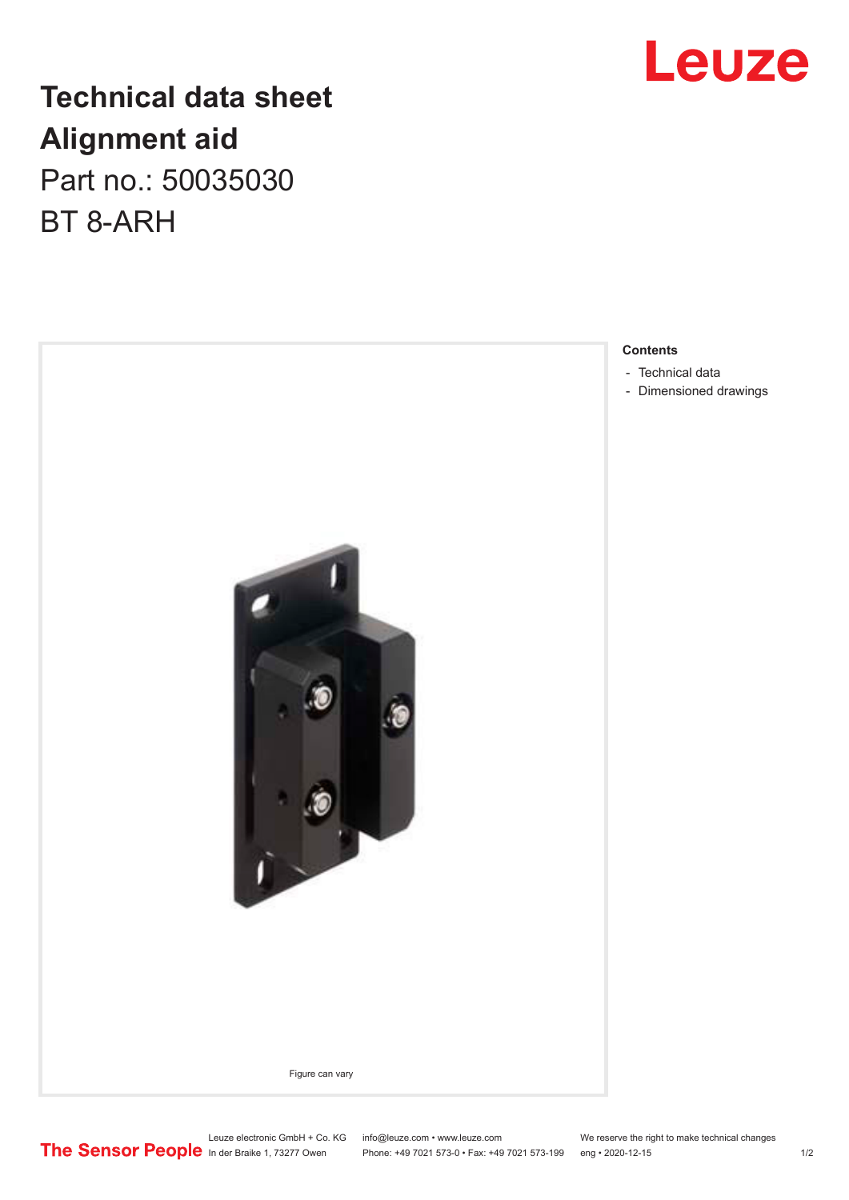## **Technical data sheet Alignment aid** Part no.: 50035030 BT 8-ARH



Leuze